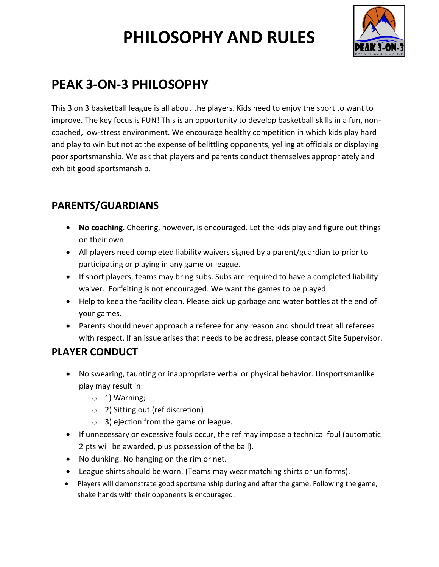# **PHILOSOPHY AND RULES**



## **PEAK 3-ON-3 PHILOSOPHY**

This 3 on 3 basketball league is all about the players. Kids need to enjoy the sport to want to improve. The key focus is FUN! This is an opportunity to develop basketball skills in a fun, noncoached, low-stress environment. We encourage healthy competition in which kids play hard and play to win but not at the expense of belittling opponents, yelling at officials or displaying poor sportsmanship. We ask that players and parents conduct themselves appropriately and exhibit good sportsmanship.

#### **PARENTS/GUARDIANS**

- **No coaching**. Cheering, however, is encouraged. Let the kids play and figure out things on their own.
- All players need completed liability waivers signed by a parent/guardian to prior to participating or playing in any game or league.
- If short players, teams may bring subs. Subs are required to have a completed liability waiver. Forfeiting is not encouraged. We want the games to be played.
- Help to keep the facility clean. Please pick up garbage and water bottles at the end of your games.
- Parents should never approach a referee for any reason and should treat all referees with respect. If an issue arises that needs to be address, please contact Site Supervisor.

#### **PLAYER CONDUCT**

- No swearing, taunting or inappropriate verbal or physical behavior. Unsportsmanlike play may result in:
	- $\circ$  1) Warning;
	- o 2) Sitting out (ref discretion)
	- o 3) ejection from the game or league.
- If unnecessary or excessive fouls occur, the ref may impose a technical foul (automatic 2 pts will be awarded, plus possession of the ball).
- No dunking. No hanging on the rim or net.
- League shirts should be worn. (Teams may wear matching shirts or uniforms).
- Players will demonstrate good sportsmanship during and after the game. Following the game, shake hands with their opponents is encouraged.